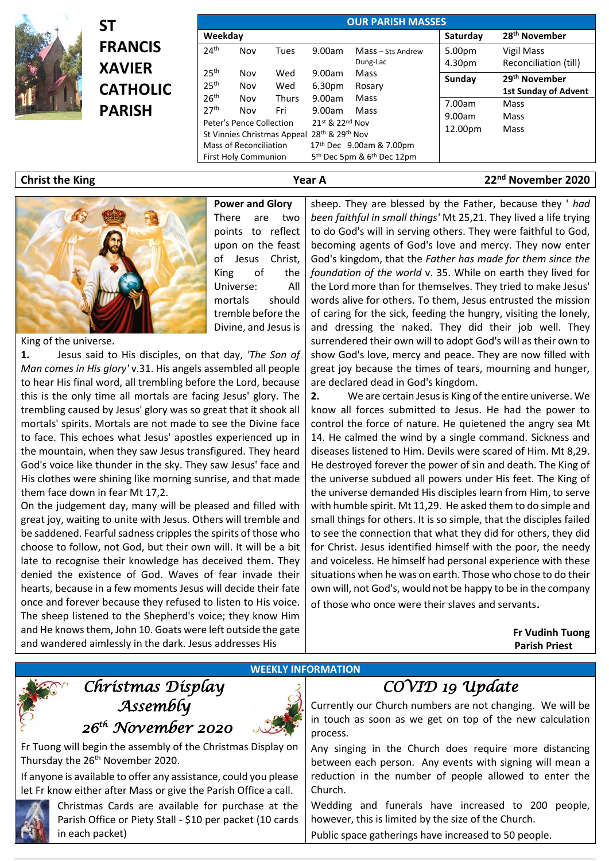

| $\frac{1}{2}$          | SΤ                                                                  |                                      | <b>OUR PARISH MASSES</b>                                                          |                     |                  |                                                                                                    |                            |                                                                                 |  |
|------------------------|---------------------------------------------------------------------|--------------------------------------|-----------------------------------------------------------------------------------|---------------------|------------------|----------------------------------------------------------------------------------------------------|----------------------------|---------------------------------------------------------------------------------|--|
|                        | <b>FRANCIS</b><br><b>XAVIER</b><br><b>CATHOLIC</b><br><b>PARISH</b> |                                      | Weekday                                                                           |                     |                  |                                                                                                    |                            | 28 <sup>th</sup> November                                                       |  |
|                        |                                                                     | 24 <sup>th</sup>                     | Nov                                                                               | Tues                | 9.00am           | Mass - Sts Andrew<br>Dung-Lac                                                                      | 5.00pm<br>4.30pm           | Vigil Mass<br>Reconciliation (till)                                             |  |
|                        |                                                                     | 25 <sup>th</sup><br>25 <sup>th</sup> | Nov<br>Nov                                                                        | Wed<br>Wed          | 9.00am<br>6.30pm | Mass<br>Rosary                                                                                     | Sunday<br>7.00am<br>9.00am | 29 <sup>th</sup> November<br><b>1st Sunday of Advent</b><br><b>Mass</b><br>Mass |  |
|                        |                                                                     | 26 <sup>th</sup><br>27 <sup>th</sup> | Nov<br>Nov                                                                        | <b>Thurs</b><br>Fri | 9.00am<br>9.00am | Mass<br>Mass                                                                                       |                            |                                                                                 |  |
|                        |                                                                     |                                      | Peter's Pence Collection<br>St Vinnies Christmas Appeal<br>Mass of Reconciliation |                     |                  | 21st & 22nd Nov<br>28 <sup>th</sup> & 29 <sup>th</sup> Nov<br>17 <sup>th</sup> Dec 9.00am & 7.00pm |                            | Mass                                                                            |  |
|                        |                                                                     |                                      | <b>First Holy Communion</b>                                                       |                     |                  | 5 <sup>th</sup> Dec 5pm & 6 <sup>th</sup> Dec 12pm                                                 |                            |                                                                                 |  |
| <b>Christ the King</b> |                                                                     |                                      | Year A                                                                            |                     |                  |                                                                                                    |                            | 22 <sup>nd</sup> November 2020                                                  |  |



**Power and Glory** There are two points to reflect upon on the feast of Jesus Christ, King of the Universe: All mortals should tremble before the Divine, and Jesus is

King of the universe.

**1.** Jesus said to His disciples, on that day, *'The Son of Man comes in His glory'* v.31. His angels assembled all people to hear His final word, all trembling before the Lord, because this is the only time all mortals are facing Jesus' glory. The trembling caused by Jesus' glory was so great that it shook all mortals' spirits. Mortals are not made to see the Divine face to face. This echoes what Jesus' apostles experienced up in the mountain, when they saw Jesus transfigured. They heard God's voice like thunder in the sky. They saw Jesus' face and His clothes were shining like morning sunrise, and that made them face down in fear Mt 17,2.

On the judgement day, many will be pleased and filled with great joy, waiting to unite with Jesus. Others will tremble and be saddened. Fearful sadness cripples the spirits of those who choose to follow, not God, but their own will. It will be a bit late to recognise their knowledge has deceived them. They denied the existence of God. Waves of fear invade their hearts, because in a few moments Jesus will decide their fate once and forever because they refused to listen to His voice. The sheep listened to the Shepherd's voice; they know Him and He knows them, John 10. Goats were left outside the gate and wandered aimlessly in the dark. Jesus addresses His

sheep. They are blessed by the Father, because they ' *had been faithful in small things'* Mt 25,21. They lived a life trying to do God's will in serving others. They were faithful to God, becoming agents of God's love and mercy. They now enter God's kingdom, that the *Father has made for them since the foundation of the world* v. 35. While on earth they lived for the Lord more than for themselves. They tried to make Jesus' words alive for others. To them, Jesus entrusted the mission of caring for the sick, feeding the hungry, visiting the lonely, and dressing the naked. They did their job well. They surrendered their own will to adopt God's will as their own to show God's love, mercy and peace. They are now filled with great joy because the times of tears, mourning and hunger, are declared dead in God's kingdom.

**2.** We are certain Jesus is King of the entire universe. We know all forces submitted to Jesus. He had the power to control the force of nature. He quietened the angry sea Mt 14. He calmed the wind by a single command. Sickness and diseases listened to Him. Devils were scared of Him. Mt 8,29. He destroyed forever the power of sin and death. The King of the universe subdued all powers under His feet. The King of the universe demanded His disciples learn from Him, to serve with humble spirit. Mt 11,29. He asked them to do simple and small things for others. It is so simple, that the disciples failed to see the connection that what they did for others, they did for Christ. Jesus identified himself with the poor, the needy and voiceless. He himself had personal experience with these situations when he was on earth. Those who chose to do their own will, not God's, would not be happy to be in the company of those who once were their slaves and servants.

> **Fr Vudinh Tuong Parish Priest**



## *Christmas Display Assembly*



Thursday the 26<sup>th</sup> November 2020.

If anyone is available to offer any assistance, could you please let Fr know either after Mass or give the Parish Office a call.



Christmas Cards are available for purchase at the Parish Office or Piety Stall - \$10 per packet (10 cards in each packet)

## *COVID 19 Update*

Currently our Church numbers are not changing. We will be in touch as soon as we get on top of the new calculation process.

Any singing in the Church does require more distancing between each person. Any events with signing will mean a reduction in the number of people allowed to enter the Church.

Wedding and funerals have increased to 200 people, however, this is limited by the size of the Church.

Public space gatherings have increased to 50 people.